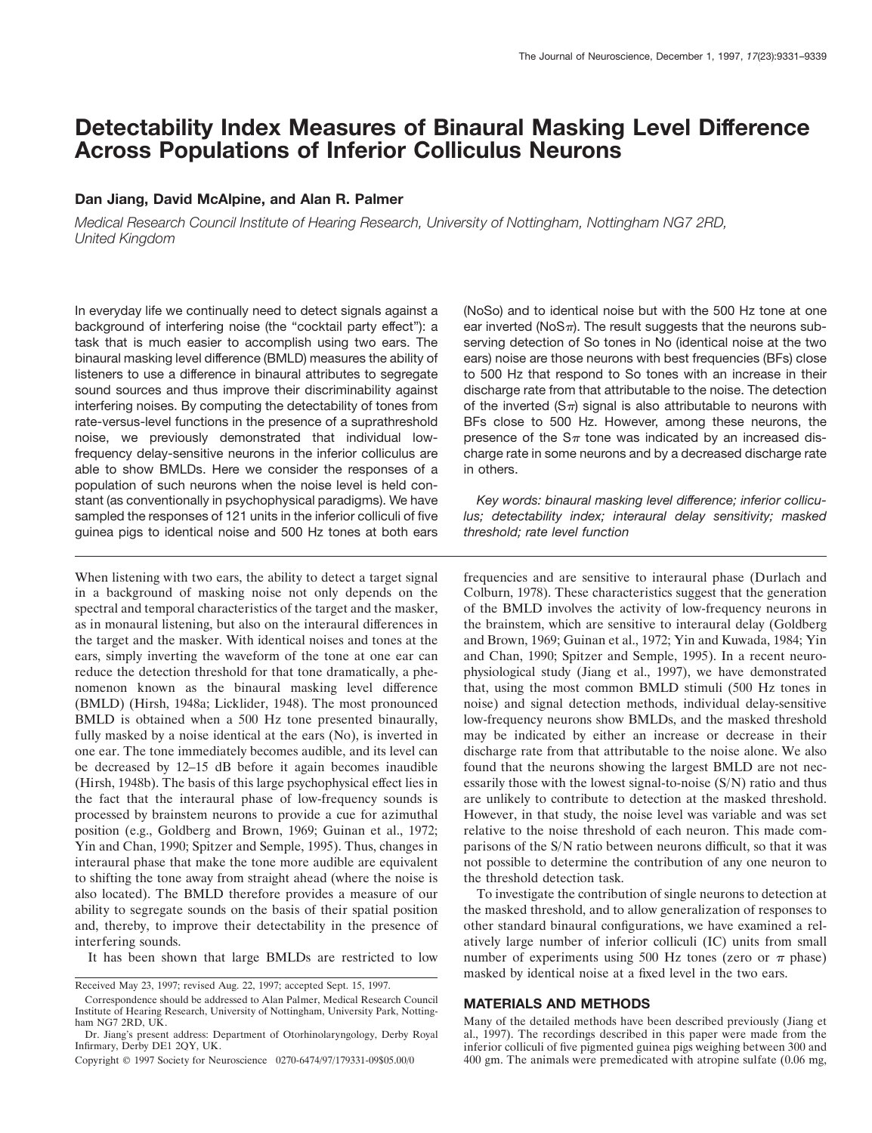# **Detectability Index Measures of Binaural Masking Level Difference Across Populations of Inferior Colliculus Neurons**

## **Dan Jiang, David McAlpine, and Alan R. Palmer**

*Medical Research Council Institute of Hearing Research, University of Nottingham, Nottingham NG7 2RD, United Kingdom*

In everyday life we continually need to detect signals against a background of interfering noise (the "cocktail party effect"): a task that is much easier to accomplish using two ears. The binaural masking level difference (BMLD) measures the ability of listeners to use a difference in binaural attributes to segregate sound sources and thus improve their discriminability against interfering noises. By computing the detectability of tones from rate-versus-level functions in the presence of a suprathreshold noise, we previously demonstrated that individual lowfrequency delay-sensitive neurons in the inferior colliculus are able to show BMLDs. Here we consider the responses of a population of such neurons when the noise level is held constant (as conventionally in psychophysical paradigms). We have sampled the responses of 121 units in the inferior colliculi of five guinea pigs to identical noise and 500 Hz tones at both ears

When listening with two ears, the ability to detect a target signal in a background of masking noise not only depends on the spectral and temporal characteristics of the target and the masker, as in monaural listening, but also on the interaural differences in the target and the masker. With identical noises and tones at the ears, simply inverting the waveform of the tone at one ear can reduce the detection threshold for that tone dramatically, a phenomenon known as the binaural masking level difference (BMLD) (Hirsh, 1948a; Licklider, 1948). The most pronounced BMLD is obtained when a 500 Hz tone presented binaurally, fully masked by a noise identical at the ears (No), is inverted in one ear. The tone immediately becomes audible, and its level can be decreased by 12–15 dB before it again becomes inaudible (Hirsh, 1948b). The basis of this large psychophysical effect lies in the fact that the interaural phase of low-frequency sounds is processed by brainstem neurons to provide a cue for azimuthal position (e.g., Goldberg and Brown, 1969; Guinan et al., 1972; Yin and Chan, 1990; Spitzer and Semple, 1995). Thus, changes in interaural phase that make the tone more audible are equivalent to shifting the tone away from straight ahead (where the noise is also located). The BMLD therefore provides a measure of our ability to segregate sounds on the basis of their spatial position and, thereby, to improve their detectability in the presence of interfering sounds.

It has been shown that large BMLDs are restricted to low

(NoSo) and to identical noise but with the 500 Hz tone at one ear inverted (NoS $\pi$ ). The result suggests that the neurons subserving detection of So tones in No (identical noise at the two ears) noise are those neurons with best frequencies (BFs) close to 500 Hz that respond to So tones with an increase in their discharge rate from that attributable to the noise. The detection of the inverted  $(S_{\pi})$  signal is also attributable to neurons with BFs close to 500 Hz. However, among these neurons, the presence of the  $S_{\pi}$  tone was indicated by an increased discharge rate in some neurons and by a decreased discharge rate in others.

*Key words: binaural masking level difference; inferior colliculus; detectability index; interaural delay sensitivity; masked threshold; rate level function*

frequencies and are sensitive to interaural phase (Durlach and Colburn, 1978). These characteristics suggest that the generation of the BMLD involves the activity of low-frequency neurons in the brainstem, which are sensitive to interaural delay (Goldberg and Brown, 1969; Guinan et al., 1972; Yin and Kuwada, 1984; Yin and Chan, 1990; Spitzer and Semple, 1995). In a recent neurophysiological study (Jiang et al., 1997), we have demonstrated that, using the most common BMLD stimuli (500 Hz tones in noise) and signal detection methods, individual delay-sensitive low-frequency neurons show BMLDs, and the masked threshold may be indicated by either an increase or decrease in their discharge rate from that attributable to the noise alone. We also found that the neurons showing the largest BMLD are not necessarily those with the lowest signal-to-noise (S/N) ratio and thus are unlikely to contribute to detection at the masked threshold. However, in that study, the noise level was variable and was set relative to the noise threshold of each neuron. This made comparisons of the S/N ratio between neurons difficult, so that it was not possible to determine the contribution of any one neuron to the threshold detection task.

To investigate the contribution of single neurons to detection at the masked threshold, and to allow generalization of responses to other standard binaural configurations, we have examined a relatively large number of inferior colliculi (IC) units from small number of experiments using 500 Hz tones (zero or  $\pi$  phase) masked by identical noise at a fixed level in the two ears.

## **MATERIALS AND METHODS**

Many of the detailed methods have been described previously (Jiang et al., 1997). The recordings described in this paper were made from the inferior colliculi of five pigmented guinea pigs weighing between 300 and 400 gm. The animals were premedicated with atropine sulfate (0.06 mg,

Received May 23, 1997; revised Aug. 22, 1997; accepted Sept. 15, 1997.

Correspondence should be addressed to Alan Palmer, Medical Research Council Institute of Hearing Research, University of Nottingham, University Park, Nottingham NG7 2RD, UK.

Dr. Jiang's present address: Department of Otorhinolaryngology, Derby Royal Infirmary, Derby DE1 2QY, UK.

Copyright © 1997 Society for Neuroscience 0270-6474/97/179331-09\$05.00/0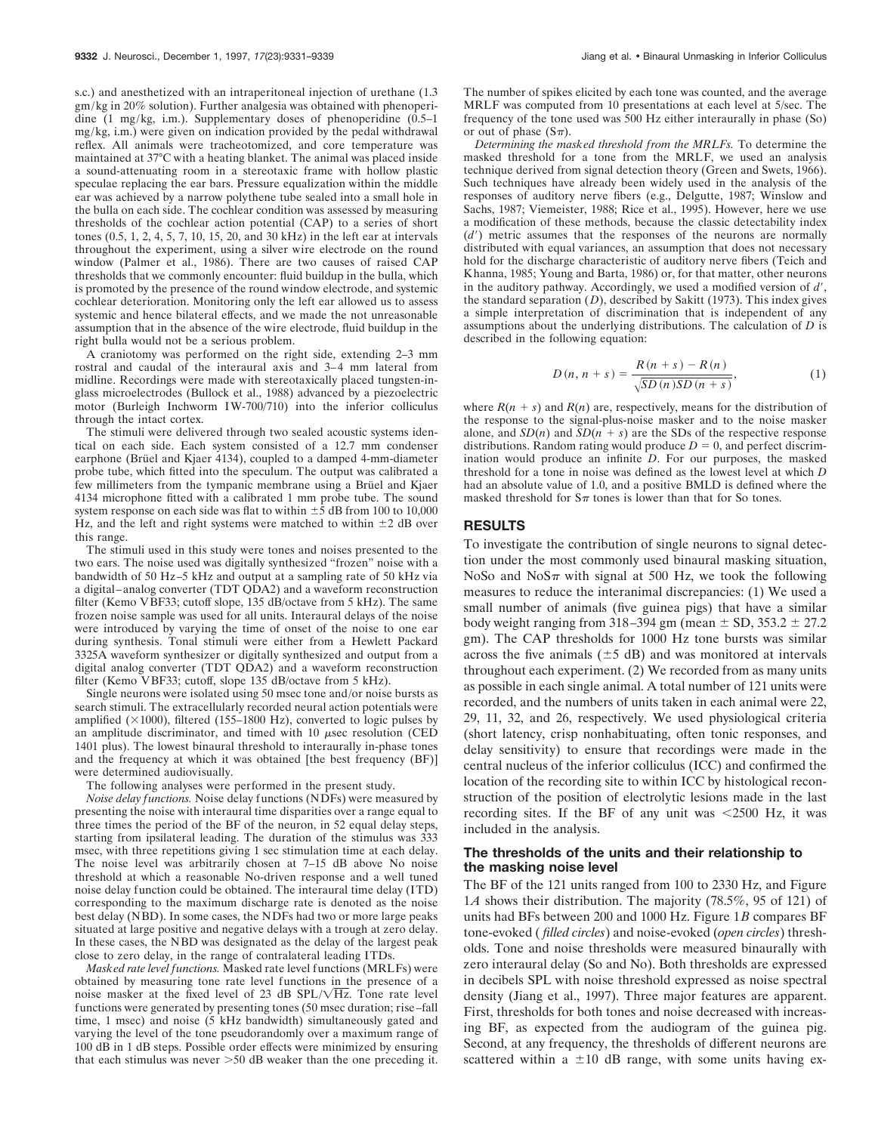s.c.) and anesthetized with an intraperitoneal injection of urethane (1.3 gm/kg in 20% solution). Further analgesia was obtained with phenoperidine (1 mg/kg, i.m.). Supplementary doses of phenoperidine (0.5–1 mg/kg, i.m.) were given on indication provided by the pedal withdrawal reflex. All animals were tracheotomized, and core temperature was maintained at 37°C with a heating blanket. The animal was placed inside a sound-attenuating room in a stereotaxic frame with hollow plastic speculae replacing the ear bars. Pressure equalization within the middle ear was achieved by a narrow polythene tube sealed into a small hole in the bulla on each side. The cochlear condition was assessed by measuring thresholds of the cochlear action potential (CAP) to a series of short tones (0.5, 1, 2, 4, 5, 7, 10, 15, 20, and 30 kHz) in the left ear at intervals throughout the experiment, using a silver wire electrode on the round window (Palmer et al., 1986). There are two causes of raised CAP thresholds that we commonly encounter: fluid buildup in the bulla, which is promoted by the presence of the round window electrode, and systemic cochlear deterioration. Monitoring only the left ear allowed us to assess systemic and hence bilateral effects, and we made the not unreasonable assumption that in the absence of the wire electrode, fluid buildup in the right bulla would not be a serious problem.

A craniotomy was performed on the right side, extending 2–3 mm rostral and caudal of the interaural axis and 3–4 mm lateral from midline. Recordings were made with stereotaxically placed tungsten-inglass microelectrodes (Bullock et al., 1988) advanced by a piezoelectric motor (Burleigh Inchworm IW-700/710) into the inferior colliculus through the intact cortex.

The stimuli were delivered through two sealed acoustic systems identical on each side. Each system consisted of a 12.7 mm condenser earphone (Brüel and Kjaer 4134), coupled to a damped 4-mm-diameter probe tube, which fitted into the speculum. The output was calibrated a few millimeters from the tympanic membrane using a Brüel and Kjaer 4134 microphone fitted with a calibrated 1 mm probe tube. The sound system response on each side was flat to within  $\pm 5$  dB from 100 to 10,000 Hz, and the left and right systems were matched to within  $\pm 2$  dB over this range.

The stimuli used in this study were tones and noises presented to the two ears. The noise used was digitally synthesized "frozen" noise with a bandwidth of 50 Hz–5 kHz and output at a sampling rate of 50 kHz via a digital–analog converter (TDT QDA2) and a waveform reconstruction filter (Kemo VBF33; cutoff slope, 135 dB/octave from 5 kHz). The same frozen noise sample was used for all units. Interaural delays of the noise were introduced by varying the time of onset of the noise to one ear during synthesis. Tonal stimuli were either from a Hewlett Packard 3325A waveform synthesizer or digitally synthesized and output from a digital analog converter (TDT QDA2) and a waveform reconstruction filter (Kemo VBF33; cutoff, slope 135 dB/octave from 5 kHz).

Single neurons were isolated using 50 msec tone and/or noise bursts as search stimuli. The extracellularly recorded neural action potentials were amplified  $(\times 1000)$ , filtered (155–1800 Hz), converted to logic pulses by an amplitude discriminator, and timed with  $10$   $\mu$ sec resolution (CED 1401 plus). The lowest binaural threshold to interaurally in-phase tones and the frequency at which it was obtained [the best frequency (BF)] were determined audiovisually.

The following analyses were performed in the present study.

*Noise delay functions.* Noise delay functions (NDFs) were measured by presenting the noise with interaural time disparities over a range equal to three times the period of the BF of the neuron, in 52 equal delay steps, starting from ipsilateral leading. The duration of the stimulus was 333 msec, with three repetitions giving 1 sec stimulation time at each delay. The noise level was arbitrarily chosen at 7–15 dB above No noise threshold at which a reasonable No-driven response and a well tuned noise delay function could be obtained. The interaural time delay (ITD) corresponding to the maximum discharge rate is denoted as the noise best delay (NBD). In some cases, the NDFs had two or more large peaks situated at large positive and negative delays with a trough at zero delay. In these cases, the NBD was designated as the delay of the largest peak close to zero delay, in the range of contralateral leading ITDs.

*Masked rate level functions.* Masked rate level functions (MRLFs) were obtained by measuring tone rate level functions in the presence of a noise masker at the fixed level of 23 dB SPL/ $\sqrt{Hz}$ . Tone rate level functions were generated by presenting tones (50 msec duration; rise–fall time, 1 msec) and noise (5 kHz bandwidth) simultaneously gated and varying the level of the tone pseudorandomly over a maximum range of 100 dB in 1 dB steps. Possible order effects were minimized by ensuring that each stimulus was never  $>50$  dB weaker than the one preceding it.

The number of spikes elicited by each tone was counted, and the average MRLF was computed from 10 presentations at each level at 5/sec. The frequency of the tone used was 500 Hz either interaurally in phase (So) or out of phase  $(S_{\pi})$ .

*Determining the masked threshold from the MRLFs.* To determine the masked threshold for a tone from the MRLF, we used an analysis technique derived from signal detection theory (Green and Swets, 1966). Such techniques have already been widely used in the analysis of the responses of auditory nerve fibers (e.g., Delgutte, 1987; Winslow and Sachs, 1987; Viemeister, 1988; Rice et al., 1995). However, here we use a modification of these methods, because the classic detectability index  $(d')$  metric assumes that the responses of the neurons are normally distributed with equal variances, an assumption that does not necessary hold for the discharge characteristic of auditory nerve fibers (Teich and Khanna, 1985; Young and Barta, 1986) or, for that matter, other neurons in the auditory pathway. Accordingly, we used a modified version of  $d'$ , the standard separation (*D*), described by Sakitt (1973). This index gives a simple interpretation of discrimination that is independent of any assumptions about the underlying distributions. The calculation of *D* is described in the following equation:

$$
D(n, n+s) = \frac{R(n+s) - R(n)}{\sqrt{SD(n)SD(n+s)}},
$$
 (1)

where  $R(n + s)$  and  $R(n)$  are, respectively, means for the distribution of the response to the signal-plus-noise masker and to the noise masker alone, and  $SD(n)$  and  $SD(n + s)$  are the SDs of the respective response distributions. Random rating would produce  $D = 0$ , and perfect discrimination would produce an infinite *D*. For our purposes, the masked threshold for a tone in noise was defined as the lowest level at which *D* had an absolute value of 1.0, and a positive BMLD is defined where the masked threshold for  $S_{\pi}$  tones is lower than that for So tones.

## **RESULTS**

To investigate the contribution of single neurons to signal detection under the most commonly used binaural masking situation, NoSo and NoS $\pi$  with signal at 500 Hz, we took the following measures to reduce the interanimal discrepancies: (1) We used a small number of animals (five guinea pigs) that have a similar body weight ranging from 318–394 gm (mean  $\pm$  SD, 353.2  $\pm$  27.2 gm). The CAP thresholds for 1000 Hz tone bursts was similar across the five animals  $(\pm 5$  dB) and was monitored at intervals throughout each experiment. (2) We recorded from as many units as possible in each single animal. A total number of 121 units were recorded, and the numbers of units taken in each animal were 22, 29, 11, 32, and 26, respectively. We used physiological criteria (short latency, crisp nonhabituating, often tonic responses, and delay sensitivity) to ensure that recordings were made in the central nucleus of the inferior colliculus (ICC) and confirmed the location of the recording site to within ICC by histological reconstruction of the position of electrolytic lesions made in the last recording sites. If the BF of any unit was  $\lt 2500$  Hz, it was included in the analysis.

## **The thresholds of the units and their relationship to the masking noise level**

The BF of the 121 units ranged from 100 to 2330 Hz, and Figure 1*A* shows their distribution. The majority (78.5%, 95 of 121) of units had BFs between 200 and 1000 Hz. Figure 1*B* compares BF tone-evoked ( *filled circles*) and noise-evoked (*open circles*) thresholds. Tone and noise thresholds were measured binaurally with zero interaural delay (So and No). Both thresholds are expressed in decibels SPL with noise threshold expressed as noise spectral density (Jiang et al., 1997). Three major features are apparent. First, thresholds for both tones and noise decreased with increasing BF, as expected from the audiogram of the guinea pig. Second, at any frequency, the thresholds of different neurons are scattered within a  $\pm 10$  dB range, with some units having ex-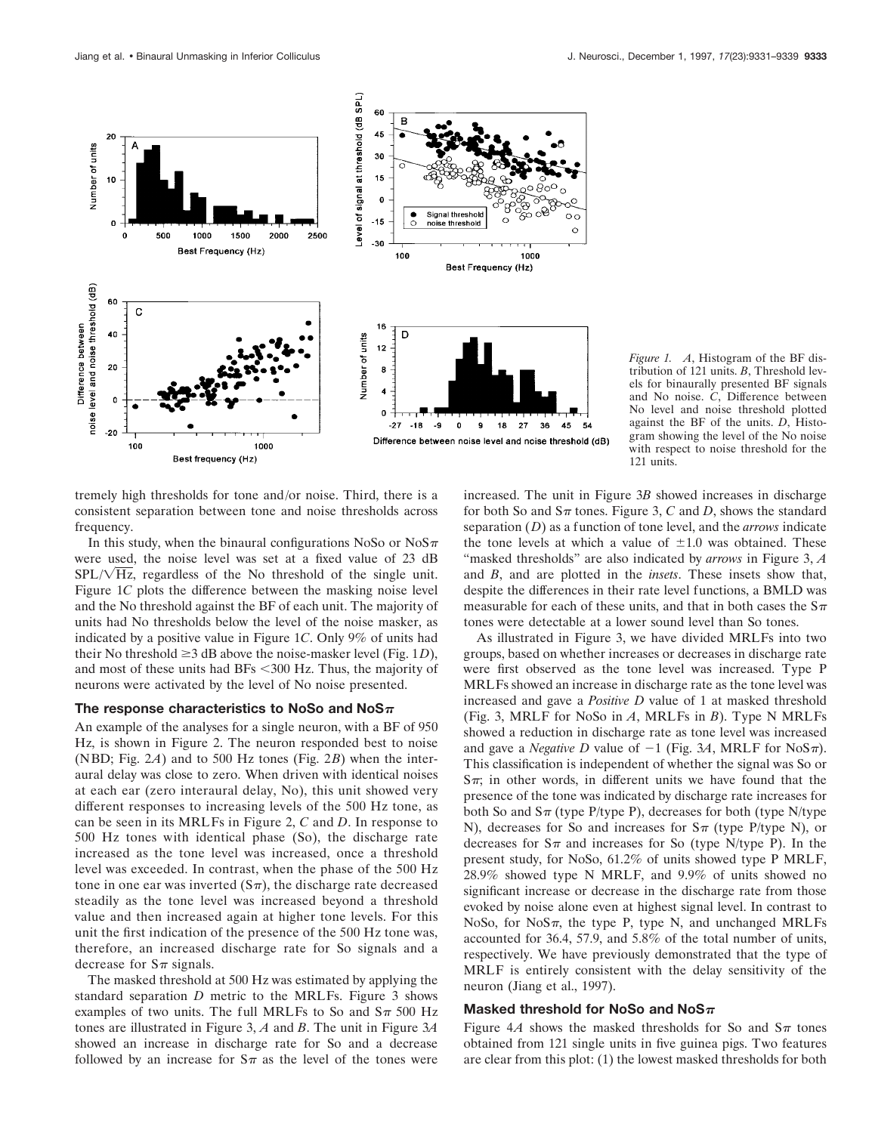

*Figure 1. A*, Histogram of the BF distribution of 121 units. *B*, Threshold levels for binaurally presented BF signals and No noise. *C*, Difference between No level and noise threshold plotted against the BF of the units. *D*, Histogram showing the level of the No noise with respect to noise threshold for the 121 units.

tremely high thresholds for tone and/or noise. Third, there is a consistent separation between tone and noise thresholds across frequency.

In this study, when the binaural configurations NoSo or  $N \circ S \pi$ were used, the noise level was set at a fixed value of 23 dB  $SPL/\sqrt{Hz}$ , regardless of the No threshold of the single unit. Figure 1*C* plots the difference between the masking noise level and the No threshold against the BF of each unit. The majority of units had No thresholds below the level of the noise masker, as indicated by a positive value in Figure 1*C*. Only 9% of units had their No threshold  $\geq$ 3 dB above the noise-masker level (Fig. 1*D*), and most of these units had BFs  $<$  300 Hz. Thus, the majority of neurons were activated by the level of No noise presented.

#### The response characteristics to NoSo and NoS $\pi$

An example of the analyses for a single neuron, with a BF of 950 Hz, is shown in Figure 2. The neuron responded best to noise (NBD; Fig. 2*A*) and to 500 Hz tones (Fig. 2*B*) when the interaural delay was close to zero. When driven with identical noises at each ear (zero interaural delay, No), this unit showed very different responses to increasing levels of the 500 Hz tone, as can be seen in its MRLFs in Figure 2, *C* and *D*. In response to 500 Hz tones with identical phase (So), the discharge rate increased as the tone level was increased, once a threshold level was exceeded. In contrast, when the phase of the 500 Hz tone in one ear was inverted  $(S_{\pi})$ , the discharge rate decreased steadily as the tone level was increased beyond a threshold value and then increased again at higher tone levels. For this unit the first indication of the presence of the 500 Hz tone was, therefore, an increased discharge rate for So signals and a decrease for  $S_{\pi}$  signals.

The masked threshold at 500 Hz was estimated by applying the standard separation *D* metric to the MRLFs. Figure 3 shows examples of two units. The full MRLFs to So and  $S_{\pi}$  500 Hz tones are illustrated in Figure 3, *A* and *B*. The unit in Figure 3*A* showed an increase in discharge rate for So and a decrease followed by an increase for  $S_{\pi}$  as the level of the tones were

increased. The unit in Figure 3*B* showed increases in discharge for both So and  $S_{\pi}$  tones. Figure 3, *C* and *D*, shows the standard separation (*D*) as a function of tone level, and the *arrows* indicate the tone levels at which a value of  $\pm 1.0$  was obtained. These "masked thresholds" are also indicated by *arrows* in Figure 3, *A* and *B*, and are plotted in the *insets*. These insets show that, despite the differences in their rate level functions, a BMLD was measurable for each of these units, and that in both cases the  $S_{\pi}$ tones were detectable at a lower sound level than So tones.

As illustrated in Figure 3, we have divided MRLFs into two groups, based on whether increases or decreases in discharge rate were first observed as the tone level was increased. Type P MRLFs showed an increase in discharge rate as the tone level was increased and gave a *Positive D* value of 1 at masked threshold (Fig. 3, MRLF for NoSo in *A*, MRLFs in *B*). Type N MRLFs showed a reduction in discharge rate as tone level was increased and gave a *Negative D* value of  $-1$  (Fig. 3A, MRLF for NoS $\pi$ ). This classification is independent of whether the signal was So or  $S_{\pi}$ ; in other words, in different units we have found that the presence of the tone was indicated by discharge rate increases for both So and  $S_{\pi}$  (type P/type P), decreases for both (type N/type N), decreases for So and increases for  $S_{\pi}$  (type P/type N), or decreases for  $S_{\pi}$  and increases for So (type N/type P). In the present study, for NoSo, 61.2% of units showed type P MRLF, 28.9% showed type N MRLF, and 9.9% of units showed no significant increase or decrease in the discharge rate from those evoked by noise alone even at highest signal level. In contrast to NoSo, for NoS $\pi$ , the type P, type N, and unchanged MRLFs accounted for 36.4, 57.9, and 5.8% of the total number of units, respectively. We have previously demonstrated that the type of MRLF is entirely consistent with the delay sensitivity of the neuron (Jiang et al., 1997).

## **Masked threshold for NoSo and NoS** $\pi$

Figure 4A shows the masked thresholds for So and  $S_{\pi}$  tones obtained from 121 single units in five guinea pigs. Two features are clear from this plot: (1) the lowest masked thresholds for both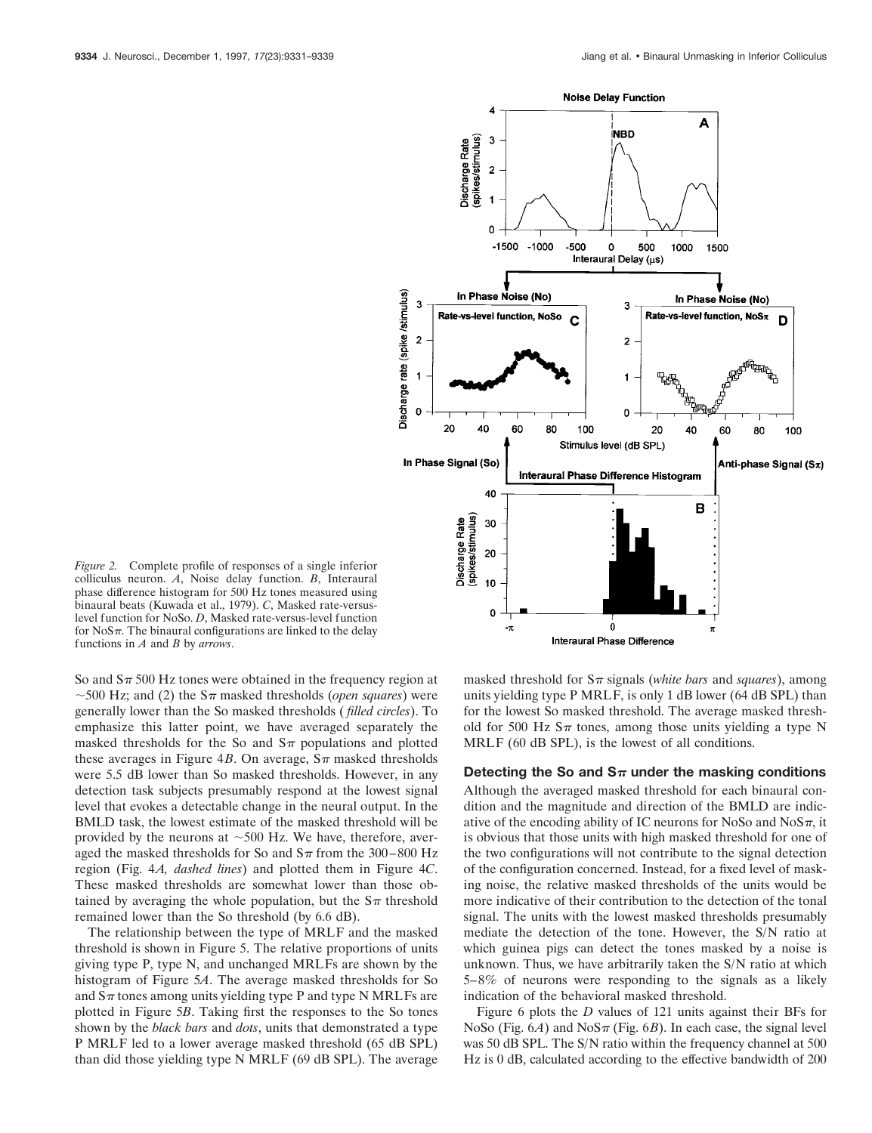

*Figure 2.* Complete profile of responses of a single inferior colliculus neuron. *A*, Noise delay function. *B*, Interaural phase difference histogram for 500 Hz tones measured using binaural beats (Kuwada et al., 1979). *C*, Masked rate-versuslevel function for NoSo. *D*, Masked rate-versus-level function for  $NoS\pi$ . The binaural configurations are linked to the delay functions in *A* and *B* by *arrows*.

So and  $S_{\pi}$  500 Hz tones were obtained in the frequency region at  $\sim$  500 Hz; and (2) the S $\pi$  masked thresholds (*open squares*) were generally lower than the So masked thresholds ( *filled circles*). To emphasize this latter point, we have averaged separately the masked thresholds for the So and  $S_{\pi}$  populations and plotted these averages in Figure 4*B*. On average,  $S_{\pi}$  masked thresholds were 5.5 dB lower than So masked thresholds. However, in any detection task subjects presumably respond at the lowest signal level that evokes a detectable change in the neural output. In the BMLD task, the lowest estimate of the masked threshold will be provided by the neurons at  $\sim$ 500 Hz. We have, therefore, averaged the masked thresholds for So and  $S_{\pi}$  from the 300–800 Hz region (Fig. 4*A, dashed lines*) and plotted them in Figure 4*C*. These masked thresholds are somewhat lower than those obtained by averaging the whole population, but the  $S_{\pi}$  threshold remained lower than the So threshold (by 6.6 dB).

The relationship between the type of MRLF and the masked threshold is shown in Figure 5. The relative proportions of units giving type P, type N, and unchanged MRLFs are shown by the histogram of Figure 5*A*. The average masked thresholds for So and  $S_{\pi}$  tones among units yielding type P and type N MRLFs are plotted in Figure 5*B*. Taking first the responses to the So tones shown by the *black bars* and *dots*, units that demonstrated a type P MRLF led to a lower average masked threshold (65 dB SPL) than did those yielding type N MRLF (69 dB SPL). The average

masked threshold for  $S_{\pi}$  signals (*white bars* and *squares*), among units yielding type P MRLF, is only 1 dB lower (64 dB SPL) than for the lowest So masked threshold. The average masked threshold for 500 Hz  $S_{\pi}$  tones, among those units yielding a type N MRLF (60 dB SPL), is the lowest of all conditions.

#### Detecting the So and  $S_{\pi}$  under the masking conditions

Although the averaged masked threshold for each binaural condition and the magnitude and direction of the BMLD are indicative of the encoding ability of IC neurons for NoSo and NoS $\pi$ , it is obvious that those units with high masked threshold for one of the two configurations will not contribute to the signal detection of the configuration concerned. Instead, for a fixed level of masking noise, the relative masked thresholds of the units would be more indicative of their contribution to the detection of the tonal signal. The units with the lowest masked thresholds presumably mediate the detection of the tone. However, the S/N ratio at which guinea pigs can detect the tones masked by a noise is unknown. Thus, we have arbitrarily taken the S/N ratio at which 5–8% of neurons were responding to the signals as a likely indication of the behavioral masked threshold.

Figure 6 plots the *D* values of 121 units against their BFs for NoSo (Fig.  $6A$ ) and NoS $\pi$  (Fig.  $6B$ ). In each case, the signal level was 50 dB SPL. The S/N ratio within the frequency channel at 500 Hz is 0 dB, calculated according to the effective bandwidth of 200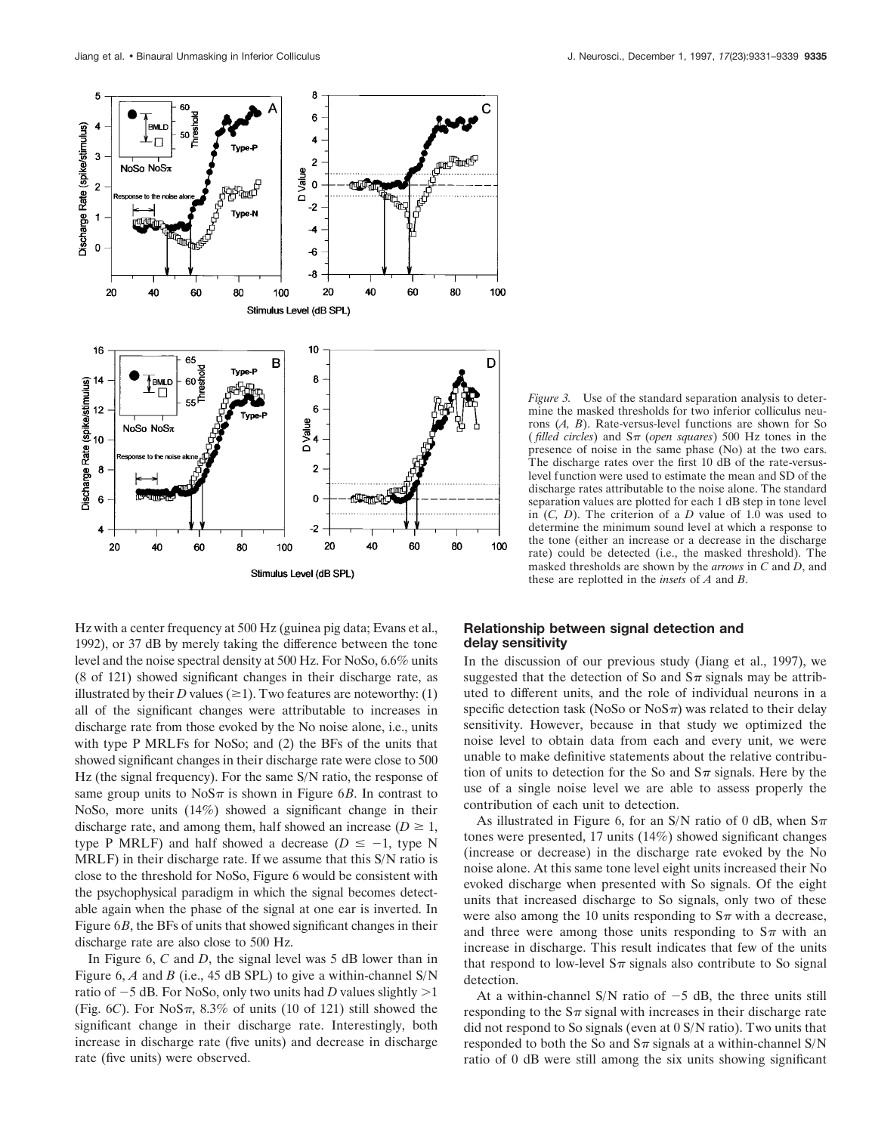

Hz with a center frequency at 500 Hz (guinea pig data; Evans et al., 1992), or 37 dB by merely taking the difference between the tone level and the noise spectral density at 500 Hz. For NoSo, 6.6% units (8 of 121) showed significant changes in their discharge rate, as illustrated by their *D* values ( $\geq$ 1). Two features are noteworthy: (1) all of the significant changes were attributable to increases in discharge rate from those evoked by the No noise alone, i.e., units with type P MRLFs for NoSo; and (2) the BFs of the units that showed significant changes in their discharge rate were close to 500 Hz (the signal frequency). For the same S/N ratio, the response of same group units to  $NoS\pi$  is shown in Figure 6*B*. In contrast to NoSo, more units (14%) showed a significant change in their discharge rate, and among them, half showed an increase  $(D \ge 1)$ , type P MRLF) and half showed a decrease  $(D \le -1$ , type N MRLF) in their discharge rate. If we assume that this S/N ratio is close to the threshold for NoSo, Figure 6 would be consistent with the psychophysical paradigm in which the signal becomes detectable again when the phase of the signal at one ear is inverted. In Figure 6*B*, the BFs of units that showed significant changes in their discharge rate are also close to 500 Hz.

In Figure 6, *C* and *D*, the signal level was 5 dB lower than in Figure 6, *A* and *B* (i.e., 45 dB SPL) to give a within-channel S/N ratio of  $-5$  dB. For NoSo, only two units had *D* values slightly  $>1$ (Fig. 6*C*). For NoS $\pi$ , 8.3% of units (10 of 121) still showed the significant change in their discharge rate. Interestingly, both increase in discharge rate (five units) and decrease in discharge rate (five units) were observed.

*Figure 3.* Use of the standard separation analysis to determine the masked thresholds for two inferior colliculus neurons (*A, B*). Rate-versus-level functions are shown for So (*filled circles*) and  $S_{\pi}$  (*open squares*) 500 Hz tones in the presence of noise in the same phase (No) at the two ears. The discharge rates over the first 10 dB of the rate-versuslevel function were used to estimate the mean and SD of the discharge rates attributable to the noise alone. The standard separation values are plotted for each 1 dB step in tone level in (*C, D*). The criterion of a *D* value of 1.0 was used to determine the minimum sound level at which a response to the tone (either an increase or a decrease in the discharge rate) could be detected (i.e., the masked threshold). The masked thresholds are shown by the *arrows* in *C* and *D*, and these are replotted in the *insets* of *A* and *B*.

## **Relationship between signal detection and delay sensitivity**

In the discussion of our previous study (Jiang et al., 1997), we suggested that the detection of So and  $S_{\pi}$  signals may be attributed to different units, and the role of individual neurons in a specific detection task (NoSo or NoS $\pi$ ) was related to their delay sensitivity. However, because in that study we optimized the noise level to obtain data from each and every unit, we were unable to make definitive statements about the relative contribution of units to detection for the So and  $S_{\pi}$  signals. Here by the use of a single noise level we are able to assess properly the contribution of each unit to detection.

As illustrated in Figure 6, for an S/N ratio of 0 dB, when  $S_{\pi}$ tones were presented, 17 units (14%) showed significant changes (increase or decrease) in the discharge rate evoked by the No noise alone. At this same tone level eight units increased their No evoked discharge when presented with So signals. Of the eight units that increased discharge to So signals, only two of these were also among the 10 units responding to  $S_{\pi}$  with a decrease, and three were among those units responding to  $S_{\pi}$  with an increase in discharge. This result indicates that few of the units that respond to low-level  $S_{\pi}$  signals also contribute to So signal detection.

At a within-channel S/N ratio of  $-5$  dB, the three units still responding to the  $S_{\pi}$  signal with increases in their discharge rate did not respond to So signals (even at 0 S/N ratio). Two units that responded to both the So and  $S_{\pi}$  signals at a within-channel S/N ratio of 0 dB were still among the six units showing significant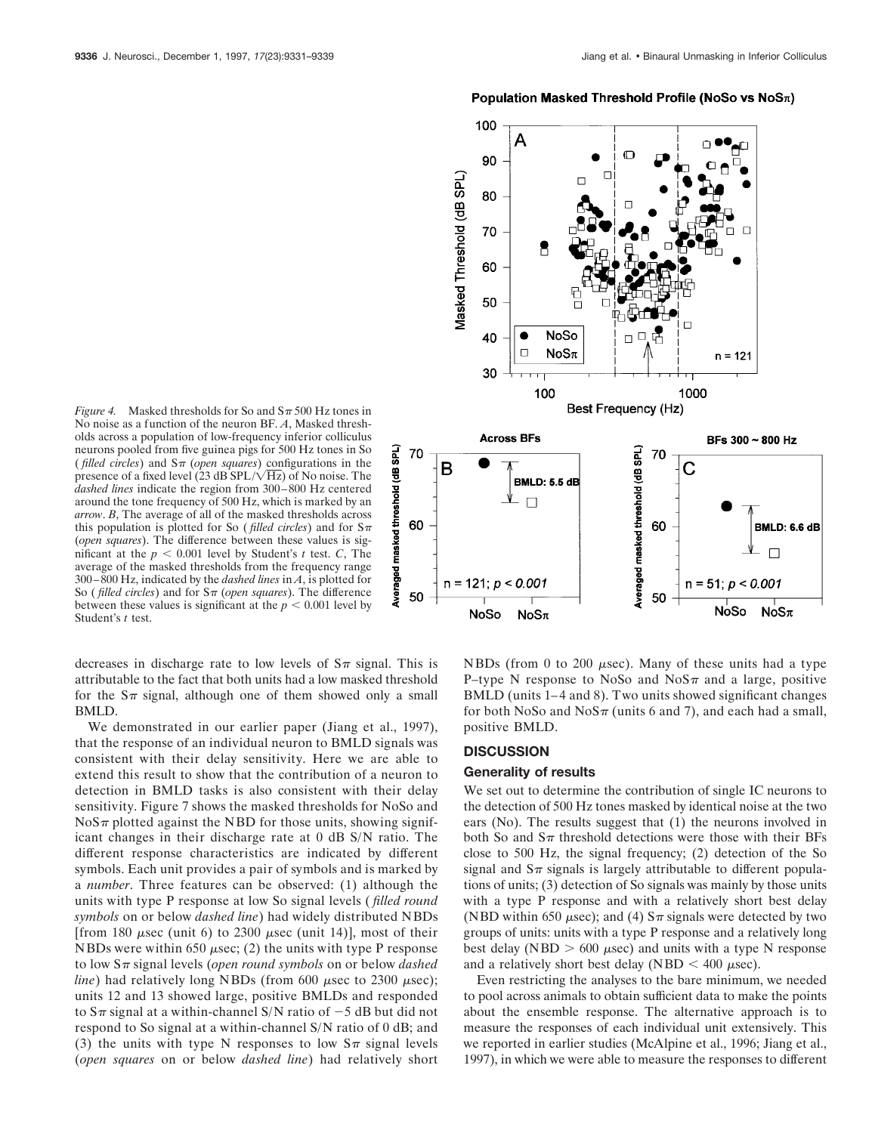## Population Masked Threshold Profile (NoSo vs  $NoS_{\pi}$ )



*Figure 4.* Masked thresholds for So and  $S_{\pi}$  500 Hz tones in No noise as a function of the neuron BF. *A*, Masked thresholds across a population of low-frequency inferior colliculus neurons pooled from five guinea pigs for 500 Hz tones in So (*filled circles*) and  $S_{\pi}$  (*open squares*) configurations in the presence of a fixed level (23 dB SPL/ $\sqrt{Hz}$ ) of No noise. The *dashed lines* indicate the region from 300–800 Hz centered around the tone frequency of 500 Hz, which is marked by an *arrow*. *B*, The average of all of the masked thresholds across this population is plotted for So (*filled circles*) and for  $S_{\pi}$ (*open squares*). The difference between these values is significant at the  $p < 0.001$  level by Student's *t* test. *C*, The average of the masked thresholds from the frequency range 300–800 Hz, indicated by the *dashed lines* in *A*, is plotted for So (*filled circles*) and for  $S_{\pi}$  (*open squares*). The difference between these values is significant at the  $p < 0.001$  level by Student's *t* test.

decreases in discharge rate to low levels of  $S_{\pi}$  signal. This is attributable to the fact that both units had a low masked threshold for the  $S_{\pi}$  signal, although one of them showed only a small BMLD.

We demonstrated in our earlier paper (Jiang et al., 1997), that the response of an individual neuron to BMLD signals was consistent with their delay sensitivity. Here we are able to extend this result to show that the contribution of a neuron to detection in BMLD tasks is also consistent with their delay sensitivity. Figure 7 shows the masked thresholds for NoSo and  $NoS\pi$  plotted against the NBD for those units, showing significant changes in their discharge rate at 0 dB S/N ratio. The different response characteristics are indicated by different symbols. Each unit provides a pair of symbols and is marked by a *number*. Three features can be observed: (1) although the units with type P response at low So signal levels ( *filled round symbols* on or below *dashed line*) had widely distributed NBDs [from 180  $\mu$ sec (unit 6) to 2300  $\mu$ sec (unit 14)], most of their NBDs were within 650  $\mu$ sec; (2) the units with type P response to low  $S_{\pi}$  signal levels (*open round symbols* on or below *dashed line*) had relatively long NBDs (from  $600 \mu \text{sec}$  to  $2300 \mu \text{sec}$ ); units 12 and 13 showed large, positive BMLDs and responded to  $S_{\pi}$  signal at a within-channel S/N ratio of  $-5$  dB but did not respond to So signal at a within-channel S/N ratio of 0 dB; and (3) the units with type N responses to low  $S_{\pi}$  signal levels (*open squares* on or below *dashed line*) had relatively short NBDs (from 0 to 200  $\mu$ sec). Many of these units had a type P–type N response to NoSo and NoS $\pi$  and a large, positive BMLD (units 1–4 and 8). Two units showed significant changes for both NoSo and NoS $\pi$  (units 6 and 7), and each had a small, positive BMLD.

## **DISCUSSION**

## **Generality of results**

We set out to determine the contribution of single IC neurons to the detection of 500 Hz tones masked by identical noise at the two ears (No). The results suggest that (1) the neurons involved in both So and  $S_{\pi}$  threshold detections were those with their BFs close to 500 Hz, the signal frequency; (2) detection of the So signal and  $S_{\pi}$  signals is largely attributable to different populations of units; (3) detection of So signals was mainly by those units with a type P response and with a relatively short best delay (NBD within 650  $\mu$ sec); and (4)  $S_{\pi}$  signals were detected by two groups of units: units with a type P response and a relatively long best delay (NBD  $> 600 \mu$ sec) and units with a type N response and a relatively short best delay (NBD  $<$  400  $\mu$ sec).

Even restricting the analyses to the bare minimum, we needed to pool across animals to obtain sufficient data to make the points about the ensemble response. The alternative approach is to measure the responses of each individual unit extensively. This we reported in earlier studies (McAlpine et al., 1996; Jiang et al., 1997), in which we were able to measure the responses to different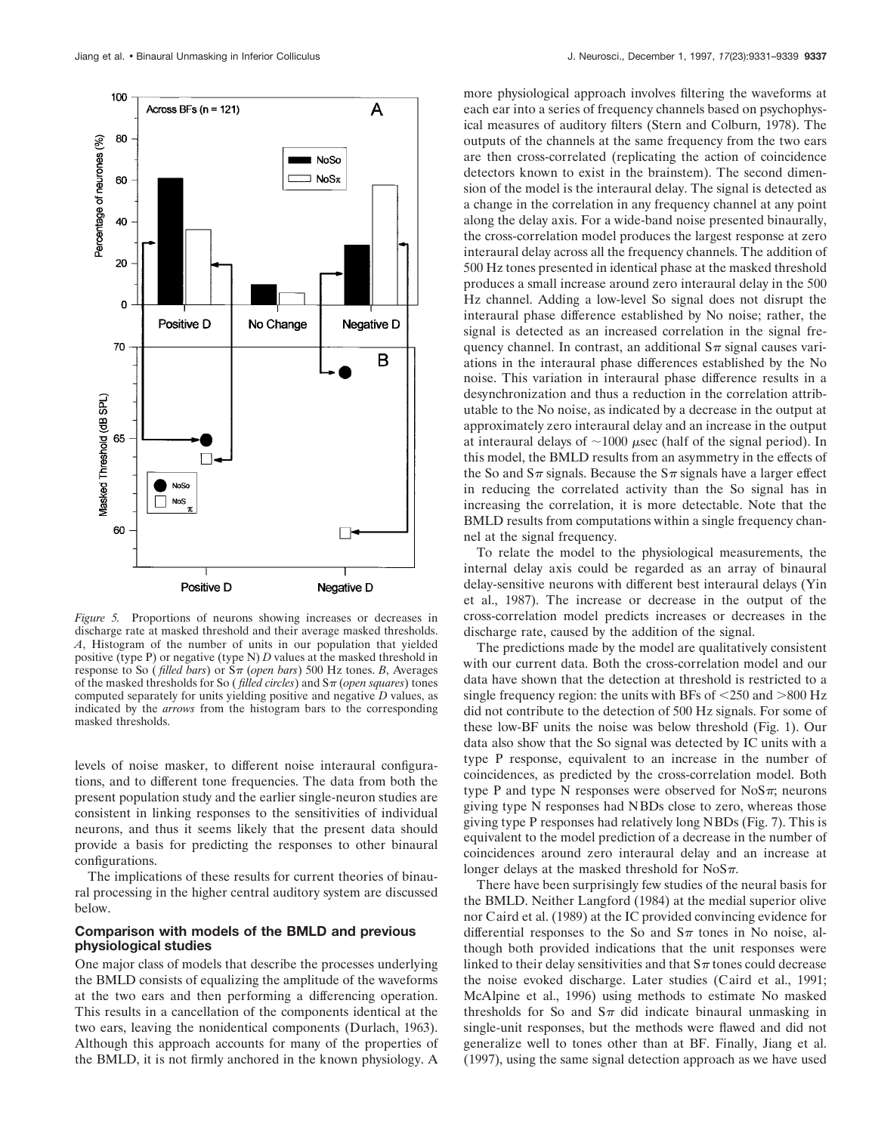

*Figure 5.* Proportions of neurons showing increases or decreases in discharge rate at masked threshold and their average masked thresholds. *A*, Histogram of the number of units in our population that yielded positive (type P) or negative (type N) *D* values at the masked threshold in response to So (*filled bars*) or  $S_{\pi}$  (*open bars*) 500 Hz tones. *B*, Averages of the masked thresholds for So (*filled circles*) and  $S_{\pi}$  (*open squares*) tones computed separately for units yielding positive and negative *D* values, as indicated by the *arrows* from the histogram bars to the corresponding masked thresholds.

levels of noise masker, to different noise interaural configurations, and to different tone frequencies. The data from both the present population study and the earlier single-neuron studies are consistent in linking responses to the sensitivities of individual neurons, and thus it seems likely that the present data should provide a basis for predicting the responses to other binaural configurations.

The implications of these results for current theories of binaural processing in the higher central auditory system are discussed below.

## **Comparison with models of the BMLD and previous physiological studies**

One major class of models that describe the processes underlying the BMLD consists of equalizing the amplitude of the waveforms at the two ears and then performing a differencing operation. This results in a cancellation of the components identical at the two ears, leaving the nonidentical components (Durlach, 1963). Although this approach accounts for many of the properties of the BMLD, it is not firmly anchored in the known physiology. A

more physiological approach involves filtering the waveforms at each ear into a series of frequency channels based on psychophysical measures of auditory filters (Stern and Colburn, 1978). The outputs of the channels at the same frequency from the two ears are then cross-correlated (replicating the action of coincidence detectors known to exist in the brainstem). The second dimension of the model is the interaural delay. The signal is detected as a change in the correlation in any frequency channel at any point along the delay axis. For a wide-band noise presented binaurally, the cross-correlation model produces the largest response at zero interaural delay across all the frequency channels. The addition of 500 Hz tones presented in identical phase at the masked threshold produces a small increase around zero interaural delay in the 500 Hz channel. Adding a low-level So signal does not disrupt the interaural phase difference established by No noise; rather, the signal is detected as an increased correlation in the signal frequency channel. In contrast, an additional  $S_{\pi}$  signal causes variations in the interaural phase differences established by the No noise. This variation in interaural phase difference results in a desynchronization and thus a reduction in the correlation attributable to the No noise, as indicated by a decrease in the output at approximately zero interaural delay and an increase in the output at interaural delays of  $\sim$ 1000  $\mu$ sec (half of the signal period). In this model, the BMLD results from an asymmetry in the effects of the So and  $S_{\pi}$  signals. Because the  $S_{\pi}$  signals have a larger effect in reducing the correlated activity than the So signal has in increasing the correlation, it is more detectable. Note that the BMLD results from computations within a single frequency channel at the signal frequency.

To relate the model to the physiological measurements, the internal delay axis could be regarded as an array of binaural delay-sensitive neurons with different best interaural delays (Yin et al., 1987). The increase or decrease in the output of the cross-correlation model predicts increases or decreases in the discharge rate, caused by the addition of the signal.

The predictions made by the model are qualitatively consistent with our current data. Both the cross-correlation model and our data have shown that the detection at threshold is restricted to a single frequency region: the units with BFs of  $\leq$  250 and  $>$ 800 Hz did not contribute to the detection of 500 Hz signals. For some of these low-BF units the noise was below threshold (Fig. 1). Our data also show that the So signal was detected by IC units with a type P response, equivalent to an increase in the number of coincidences, as predicted by the cross-correlation model. Both type P and type N responses were observed for NoS $\pi$ ; neurons giving type N responses had NBDs close to zero, whereas those giving type P responses had relatively long NBDs (Fig. 7). This is equivalent to the model prediction of a decrease in the number of coincidences around zero interaural delay and an increase at longer delays at the masked threshold for  $NoS\pi$ .

There have been surprisingly few studies of the neural basis for the BMLD. Neither Langford (1984) at the medial superior olive nor Caird et al. (1989) at the IC provided convincing evidence for differential responses to the So and  $S_{\pi}$  tones in No noise, although both provided indications that the unit responses were linked to their delay sensitivities and that  $S_{\pi}$  tones could decrease the noise evoked discharge. Later studies (Caird et al., 1991; McAlpine et al., 1996) using methods to estimate No masked thresholds for So and  $S_{\pi}$  did indicate binaural unmasking in single-unit responses, but the methods were flawed and did not generalize well to tones other than at BF. Finally, Jiang et al. (1997), using the same signal detection approach as we have used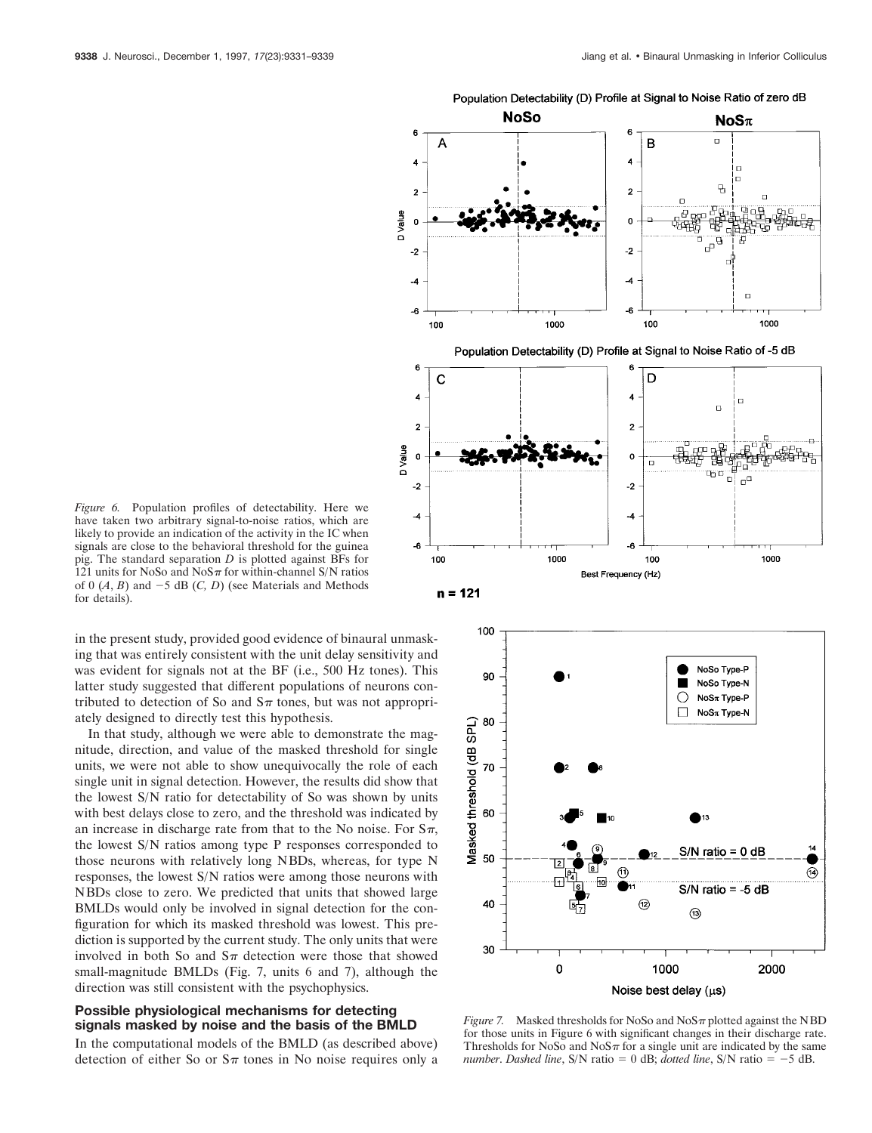

 $n = 121$ 

*Figure 6.* Population profiles of detectability. Here we have taken two arbitrary signal-to-noise ratios, which are likely to provide an indication of the activity in the IC when signals are close to the behavioral threshold for the guinea pig. The standard separation *D* is plotted against BFs for 121 units for NoSo and NoS $\pi$  for within-channel S/N ratios of  $0$   $(A, B)$  and  $-5$  dB  $(C, D)$  (see Materials and Methods for details).

in the present study, provided good evidence of binaural unmasking that was entirely consistent with the unit delay sensitivity and was evident for signals not at the BF (i.e., 500 Hz tones). This latter study suggested that different populations of neurons contributed to detection of So and  $S_{\pi}$  tones, but was not appropriately designed to directly test this hypothesis.

In that study, although we were able to demonstrate the magnitude, direction, and value of the masked threshold for single units, we were not able to show unequivocally the role of each single unit in signal detection. However, the results did show that the lowest S/N ratio for detectability of So was shown by units with best delays close to zero, and the threshold was indicated by an increase in discharge rate from that to the No noise. For  $S_{\pi}$ , the lowest S/N ratios among type P responses corresponded to those neurons with relatively long NBDs, whereas, for type N responses, the lowest S/N ratios were among those neurons with NBDs close to zero. We predicted that units that showed large BMLDs would only be involved in signal detection for the configuration for which its masked threshold was lowest. This prediction is supported by the current study. The only units that were involved in both So and  $S_{\pi}$  detection were those that showed small-magnitude BMLDs (Fig. 7, units 6 and 7), although the direction was still consistent with the psychophysics.

## **Possible physiological mechanisms for detecting signals masked by noise and the basis of the BMLD**

In the computational models of the BMLD (as described above) detection of either So or  $S_{\pi}$  tones in No noise requires only a



*Figure 7.* Masked thresholds for NoSo and  $NoS\pi$  plotted against the NBD for those units in Figure 6 with significant changes in their discharge rate. Thresholds for NoSo and  $N_0S_\pi$  for a single unit are indicated by the same *number. Dashed line*, S/N ratio = 0 dB; *dotted line*, S/N ratio =  $-5$  dB.

# Population Detectability (D) Profile at Signal to Noise Ratio of zero dB